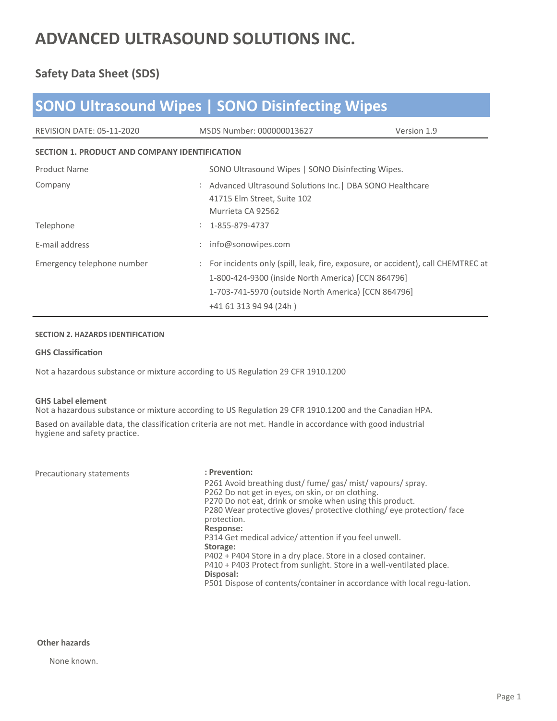### **Safety Data Sheet (SDS)**

| <b>SONO Ultrasound Wipes   SONO Disinfecting Wipes</b> |                                                                                                                                                                                                                          |             |  |  |
|--------------------------------------------------------|--------------------------------------------------------------------------------------------------------------------------------------------------------------------------------------------------------------------------|-------------|--|--|
| <b>REVISION DATE: 05-11-2020</b>                       | MSDS Number: 000000013627                                                                                                                                                                                                | Version 1.9 |  |  |
| <b>SECTION 1. PRODUCT AND COMPANY IDENTIFICATION</b>   |                                                                                                                                                                                                                          |             |  |  |
| <b>Product Name</b>                                    | SONO Ultrasound Wipes   SONO Disinfecting Wipes.                                                                                                                                                                         |             |  |  |
| Company                                                | : Advanced Ultrasound Solutions Inc.   DBA SONO Healthcare<br>41715 Elm Street, Suite 102<br>Murrieta CA 92562                                                                                                           |             |  |  |
| Telephone                                              | 1-855-879-4737                                                                                                                                                                                                           |             |  |  |
| E-mail address                                         | info@sonowipes.com                                                                                                                                                                                                       |             |  |  |
| Emergency telephone number                             | : For incidents only (spill, leak, fire, exposure, or accident), call CHEMTREC at<br>1-800-424-9300 (inside North America) [CCN 864796]<br>1-703-741-5970 (outside North America) [CCN 864796]<br>+41 61 313 94 94 (24h) |             |  |  |

#### **SECTION 2. HAZARDS IDENTIFICATION**

#### **GHS ClassificaƟon**

Not a hazardous substance or mixture according to US Regulation 29 CFR 1910.1200

#### **GHS Label element**

Not a hazardous substance or mixture according to US Regulation 29 CFR 1910.1200 and the Canadian HPA.

Based on available data, the classification criteria are not met. Handle in accordance with good industrial hygiene and safety practice.

| Precautionary statements | : Prevention:                                                                     |
|--------------------------|-----------------------------------------------------------------------------------|
|                          | P261 Avoid breathing dust/fume/gas/mist/vapours/spray.                            |
|                          | P262 Do not get in eyes, on skin, or on clothing.                                 |
|                          | P270 Do not eat, drink or smoke when using this product.                          |
|                          | P280 Wear protective gloves/ protective clothing/ eye protection/ face            |
|                          | protection.                                                                       |
|                          | Response:                                                                         |
|                          | P314 Get medical advice/attention if you feel unwell.                             |
|                          | Storage:                                                                          |
|                          | P402 + P404 Store in a dry place. Store in a closed container.                    |
|                          | P410 + P403 Protect from sunlight. Store in a well-ventilated place.<br>Disposal: |
|                          | P501 Dispose of contents/container in accordance with local regu-lation.          |

### **Other hazards**

None known.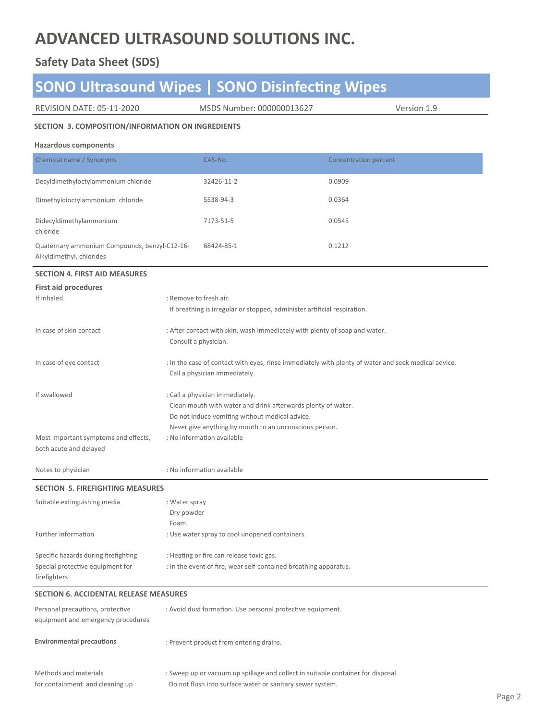### **Safety Data Sheet (SDS)**

# **SONO** Ultrasound Wipes | **SONO** Disinfecting Wipes

| <b>REVISION DATE: 05-11-2020</b> |  |  |  |
|----------------------------------|--|--|--|
|----------------------------------|--|--|--|

MSDS Number: 000000013627 Version 1.9

#### **SECTION 3. COMPOSITION/INFORMATION ON INGREDIENTS**

#### **Hazardous components**

| Chemical name / Synonyms                                                  | CAS-No.    | Concentration percent |
|---------------------------------------------------------------------------|------------|-----------------------|
| Decyldimethyloctylammonium chloride                                       | 32426-11-2 | 0.0909                |
| Dimethyldioctylammonium chloride                                          | 5538-94-3  | 0.0364                |
| Didecyldimethylammonium<br>chloride                                       | 7173-51-5  | 0.0545                |
| Quaternary ammonium Compounds, benzyl-C12-16-<br>Alkyldimethyl, chlorides | 68424-85-1 | 0.1212                |

#### **SECTION 4. FIRST AID MEASURES**

| <b>First aid procedures</b>          |                                                                                                     |
|--------------------------------------|-----------------------------------------------------------------------------------------------------|
| If inhaled                           | : Remove to fresh air.                                                                              |
|                                      | If breathing is irregular or stopped, administer artificial respiration.                            |
| In case of skin contact              | : After contact with skin, wash immediately with plenty of soap and water.                          |
|                                      | Consult a physician.                                                                                |
| In case of eye contact               | : In the case of contact with eyes, rinse immediately with plenty of water and seek medical advice. |
|                                      | Call a physician immediately.                                                                       |
| If swallowed                         | : Call a physician immediately.                                                                     |
|                                      | Clean mouth with water and drink afterwards plenty of water.                                        |
|                                      | Do not induce vomiting without medical advice.                                                      |
|                                      | Never give anything by mouth to an unconscious person.                                              |
| Most important symptoms and effects, | : No information available                                                                          |
| both acute and delayed               |                                                                                                     |

Notes to physician : No informaƟon available

#### **SECTION 5. FIREFIGHTING MEASURES**

| Suitable extinguishing media         | : Water spray                                                    |
|--------------------------------------|------------------------------------------------------------------|
|                                      | Dry powder                                                       |
|                                      | Foam                                                             |
| Further information                  | : Use water spray to cool unopened containers.                   |
| Specific hazards during firefighting | : Heating or fire can release toxic gas.                         |
| Special protective equipment for     | : In the event of fire, wear self-contained breathing apparatus. |
| firefighters                         |                                                                  |

#### **SECTION 6. ACCIDENTAL RELEASE MEASURES**

| Personal precautions, protective<br>equipment and emergency procedures | : Avoid dust formation. Use personal protective equipment.                                                                                    |
|------------------------------------------------------------------------|-----------------------------------------------------------------------------------------------------------------------------------------------|
| <b>Environmental precautions</b>                                       | : Prevent product from entering drains.                                                                                                       |
| Methods and materials<br>for containment and cleaning up               | : Sweep up or vacuum up spillage and collect in suitable container for disposal.<br>Do not flush into surface water or sanitary sewer system. |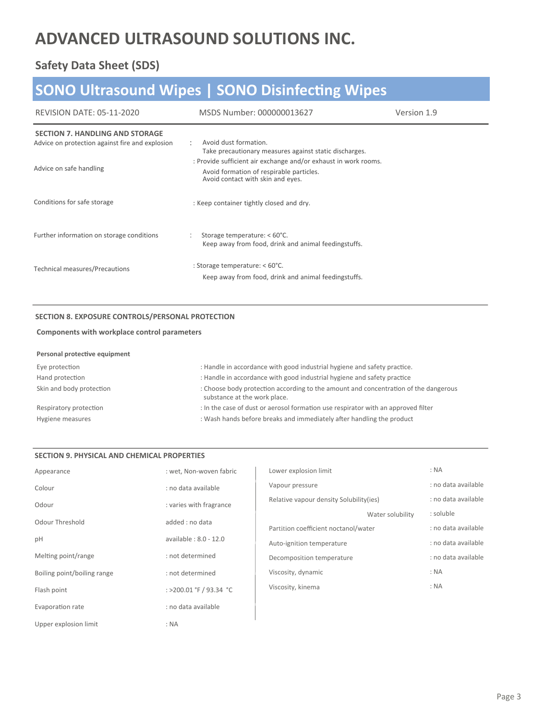### **Safety Data Sheet (SDS)**

# **SONO Ultrasound Wipes | SONO DisinfecƟng Wipes**

| REVISION DATE: 05-11-2020                                                                 | MSDS Number: 000000013627                                                                                                                        | Version 1.9 |
|-------------------------------------------------------------------------------------------|--------------------------------------------------------------------------------------------------------------------------------------------------|-------------|
| <b>SECTION 7. HANDLING AND STORAGE</b><br>Advice on protection against fire and explosion | Avoid dust formation.<br>Take precautionary measures against static discharges.                                                                  |             |
| Advice on safe handling                                                                   | : Provide sufficient air exchange and/or exhaust in work rooms.<br>Avoid formation of respirable particles.<br>Avoid contact with skin and eyes. |             |
| Conditions for safe storage                                                               | : Keep container tightly closed and dry.                                                                                                         |             |
| Further information on storage conditions                                                 | Storage temperature: < 60°C.<br>Keep away from food, drink and animal feedingstuffs.                                                             |             |
| Technical measures/Precautions                                                            | : Storage temperature: $< 60^{\circ}$ C.<br>Keep away from food, drink and animal feedingstuffs.                                                 |             |

#### **SECTION 8. EXPOSURE CONTROLS/PERSONAL PROTECTION**

#### **Components with workplace control parameters**

| Personal protective equipment |  |  |  |  |
|-------------------------------|--|--|--|--|
|-------------------------------|--|--|--|--|

| Eye protection           | : Handle in accordance with good industrial hygiene and safety practice.                                            |
|--------------------------|---------------------------------------------------------------------------------------------------------------------|
| Hand protection          | : Handle in accordance with good industrial hygiene and safety practice                                             |
| Skin and body protection | : Choose body protection according to the amount and concentration of the dangerous<br>substance at the work place. |
| Respiratory protection   | : In the case of dust or aerosol formation use respirator with an approved filter                                   |
| Hygiene measures         | : Wash hands before breaks and immediately after handling the product                                               |

#### **SECTION 9. PHYSICAL AND CHEMICAL PROPERTIES**

| Appearance                  | : wet, Non-woven fabric | Lower explosion limit                    |                  | : NA                |
|-----------------------------|-------------------------|------------------------------------------|------------------|---------------------|
| Colour                      | : no data available     | Vapour pressure                          |                  | : no data available |
| Odour                       | : varies with fragrance | Relative vapour density Solubility (ies) |                  | : no data available |
|                             |                         |                                          | Water solubility | : soluble           |
| Odour Threshold             | added : no data         | Partition coefficient noctanol/water     |                  | : no data available |
| pH                          | available: 8.0 - 12.0   | Auto-ignition temperature                |                  | : no data available |
| Melting point/range         | : not determined        | Decomposition temperature                |                  | : no data available |
| Boiling point/boiling range | : not determined        | Viscosity, dynamic                       |                  | : NA                |
| Flash point                 | : >200.01 °F / 93.34 °C | Viscosity, kinema                        |                  | : NA                |
| Evaporation rate            | : no data available     |                                          |                  |                     |
| Upper explosion limit       | : NA                    |                                          |                  |                     |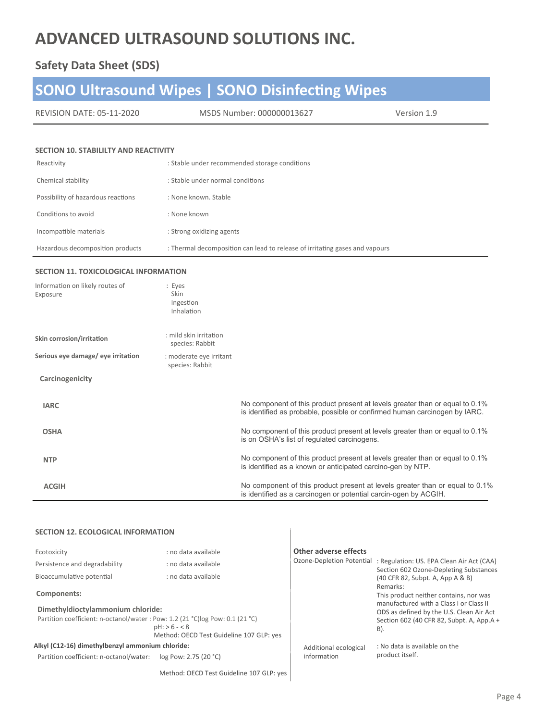### **Safety Data Sheet (SDS)**

# **SONO Ultrasound Wipes | SONO DisinfecƟng Wipes**

| REVISION DATE: 05-11-2020 | MSDS Number: 000000013627 | Version 1.9 |
|---------------------------|---------------------------|-------------|
|---------------------------|---------------------------|-------------|

#### **SECTION 10. STABILILTY AND REACTIVITY**

| Reactivity                         | : Stable under recommended storage conditions                               |
|------------------------------------|-----------------------------------------------------------------------------|
| Chemical stability                 | : Stable under normal conditions                                            |
| Possibility of hazardous reactions | : None known, Stable                                                        |
| Conditions to avoid                | : None known                                                                |
| Incompatible materials             | : Strong oxidizing agents                                                   |
| Hazardous decomposition products   | : Thermal decomposition can lead to release of irritating gases and vapours |

#### **SECTION 11. TOXICOLOGICAL INFORMATION**

| Information on likely routes of<br>Exposure | : Eyes<br><b>Skin</b><br>Ingestion<br>Inhalation |                                                                                                                                                            |
|---------------------------------------------|--------------------------------------------------|------------------------------------------------------------------------------------------------------------------------------------------------------------|
| Skin corrosion/irritation                   | : mild skin irritation<br>species: Rabbit        |                                                                                                                                                            |
| Serious eye damage/ eye irritation          | : moderate eye irritant<br>species: Rabbit       |                                                                                                                                                            |
| Carcinogenicity                             |                                                  |                                                                                                                                                            |
| <b>IARC</b>                                 |                                                  | No component of this product present at levels greater than or equal to 0.1%<br>is identified as probable, possible or confirmed human carcinogen by IARC. |
| <b>OSHA</b>                                 |                                                  | No component of this product present at levels greater than or equal to 0.1%<br>is on OSHA's list of regulated carcinogens.                                |
| <b>NTP</b>                                  |                                                  | No component of this product present at levels greater than or equal to 0.1%<br>is identified as a known or anticipated carcino-gen by NTP.                |
| <b>ACGIH</b>                                |                                                  | No component of this product present at levels greater than or equal to 0.1%<br>is identified as a carcinogen or potential carcin-ogen by ACGIH.           |

#### **SECTION 12. ECOLOGICAL INFORMATION**

| Ecotoxicity                                                                                                                                                                      | : no data available | Other adverse effects                |                                                                                                                                        |
|----------------------------------------------------------------------------------------------------------------------------------------------------------------------------------|---------------------|--------------------------------------|----------------------------------------------------------------------------------------------------------------------------------------|
| Persistence and degradability                                                                                                                                                    | : no data available |                                      | Ozone-Depletion Potential : Regulation: US. EPA Clean Air Act (CAA)<br>Section 602 Ozone-Depleting Substances                          |
| Bioaccumulative potential                                                                                                                                                        | : no data available |                                      | (40 CFR 82, Subpt. A, App A & B)<br>Remarks:                                                                                           |
| Components:                                                                                                                                                                      |                     |                                      | This product neither contains, nor was                                                                                                 |
| Dimethyldioctylammonium chloride:<br>Partition coefficient: n-octanol/water: Pow: 1.2 (21 °C)log Pow: 0.1 (21 °C)<br>$pH: > 6 - < 8$<br>Method: OECD Test Guideline 107 GLP: yes |                     |                                      | manufactured with a Class Lor Class II<br>ODS as defined by the U.S. Clean Air Act<br>Section 602 (40 CFR 82, Subpt. A, App.A +<br>B). |
| Alkyl (C12-16) dimethylbenzyl ammonium chloride:<br>Partition coefficient: n-octanol/water:<br>log Pow: 2.75 (20 °C)                                                             |                     | Additional ecological<br>information | : No data is available on the<br>product itself.                                                                                       |
|                                                                                                                                                                                  |                     |                                      |                                                                                                                                        |

Method: OECD Test Guideline 107 GLP: yes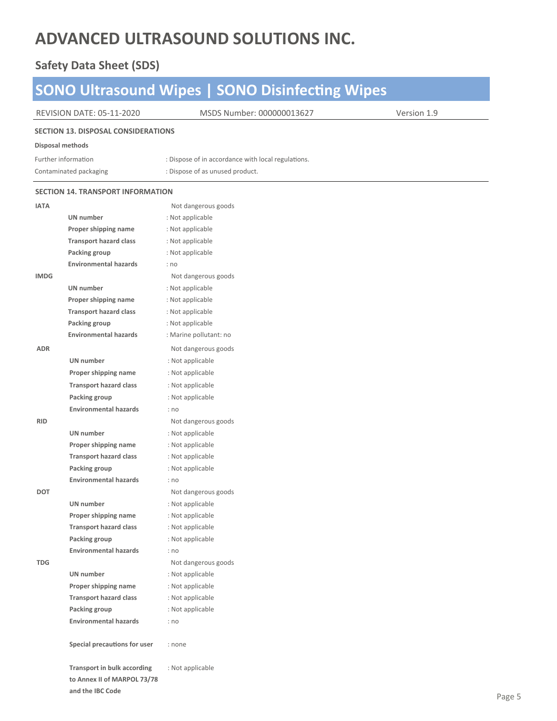### **Safety Data Sheet (SDS)**

|                                            |                                                       | <b>SONO Ultrasound Wipes   SONO Disinfecting Wipes</b> |             |  |  |
|--------------------------------------------|-------------------------------------------------------|--------------------------------------------------------|-------------|--|--|
|                                            | <b>REVISION DATE: 05-11-2020</b>                      | MSDS Number: 000000013627                              | Version 1.9 |  |  |
| <b>SECTION 13. DISPOSAL CONSIDERATIONS</b> |                                                       |                                                        |             |  |  |
| Disposal methods                           |                                                       |                                                        |             |  |  |
|                                            | Further information                                   | : Dispose of in accordance with local regulations.     |             |  |  |
|                                            | Contaminated packaging                                | : Dispose of as unused product.                        |             |  |  |
|                                            |                                                       |                                                        |             |  |  |
|                                            | <b>SECTION 14. TRANSPORT INFORMATION</b>              |                                                        |             |  |  |
| <b>IATA</b>                                |                                                       | Not dangerous goods                                    |             |  |  |
|                                            | UN number                                             | : Not applicable                                       |             |  |  |
|                                            | Proper shipping name                                  | : Not applicable                                       |             |  |  |
|                                            | <b>Transport hazard class</b>                         | : Not applicable                                       |             |  |  |
|                                            | Packing group                                         | : Not applicable                                       |             |  |  |
|                                            | <b>Environmental hazards</b>                          | : no                                                   |             |  |  |
| <b>IMDG</b>                                |                                                       | Not dangerous goods                                    |             |  |  |
|                                            | UN number                                             | : Not applicable                                       |             |  |  |
|                                            | Proper shipping name                                  | : Not applicable                                       |             |  |  |
|                                            | <b>Transport hazard class</b>                         | : Not applicable                                       |             |  |  |
|                                            | Packing group                                         | : Not applicable                                       |             |  |  |
|                                            | <b>Environmental hazards</b>                          | : Marine pollutant: no                                 |             |  |  |
| <b>ADR</b>                                 |                                                       | Not dangerous goods                                    |             |  |  |
|                                            | UN number                                             | : Not applicable                                       |             |  |  |
|                                            | Proper shipping name                                  | : Not applicable                                       |             |  |  |
|                                            | <b>Transport hazard class</b>                         | : Not applicable                                       |             |  |  |
|                                            | Packing group                                         | : Not applicable                                       |             |  |  |
|                                            | <b>Environmental hazards</b>                          | : no                                                   |             |  |  |
| <b>RID</b>                                 |                                                       | Not dangerous goods                                    |             |  |  |
|                                            | UN number                                             | : Not applicable                                       |             |  |  |
|                                            | Proper shipping name                                  | : Not applicable                                       |             |  |  |
|                                            | <b>Transport hazard class</b>                         | : Not applicable                                       |             |  |  |
|                                            | Packing group                                         | : Not applicable                                       |             |  |  |
|                                            | <b>Environmental hazards</b>                          | : no                                                   |             |  |  |
| DOT                                        |                                                       | Not dangerous goods                                    |             |  |  |
|                                            | UN number                                             | : Not applicable                                       |             |  |  |
|                                            | Proper shipping name<br><b>Transport hazard class</b> | : Not applicable                                       |             |  |  |
|                                            | Packing group                                         | : Not applicable<br>: Not applicable                   |             |  |  |
|                                            | <b>Environmental hazards</b>                          |                                                        |             |  |  |
| <b>TDG</b>                                 |                                                       | : no<br>Not dangerous goods                            |             |  |  |
|                                            | UN number                                             | : Not applicable                                       |             |  |  |
|                                            | Proper shipping name                                  | : Not applicable                                       |             |  |  |
|                                            | <b>Transport hazard class</b>                         | : Not applicable                                       |             |  |  |
|                                            | Packing group                                         | : Not applicable                                       |             |  |  |
|                                            | <b>Environmental hazards</b>                          | : no                                                   |             |  |  |
|                                            |                                                       |                                                        |             |  |  |
|                                            | Special precautions for user                          | : none                                                 |             |  |  |
|                                            | Transport in bulk according                           | : Not applicable                                       |             |  |  |
|                                            | to Annex II of MARPOL 73/78                           |                                                        |             |  |  |
|                                            | and the IBC Code                                      |                                                        |             |  |  |